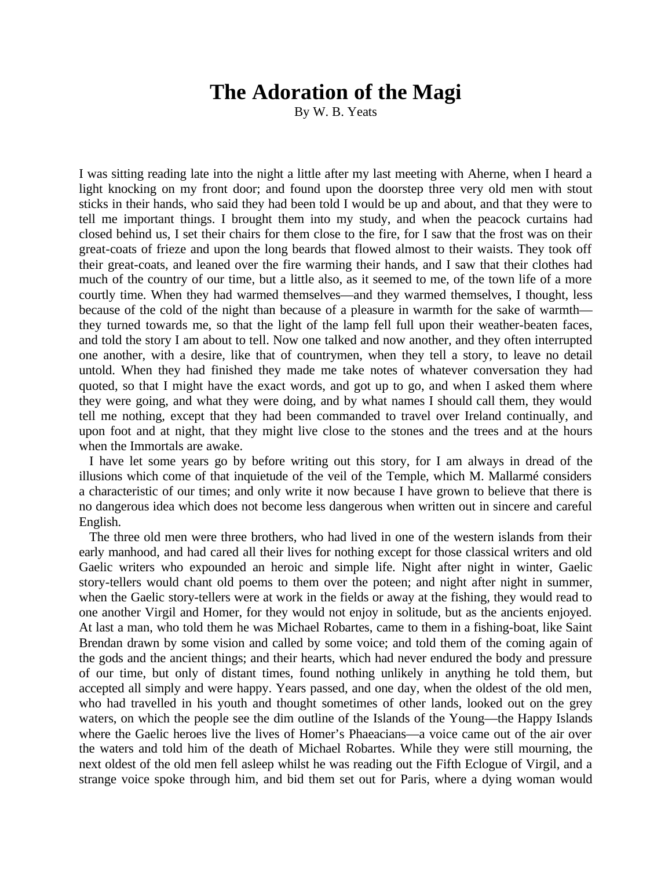## **The Adoration of the Magi**

By W. B. Yeats

I was sitting reading late into the night a little after my last meeting with Aherne, when I heard a light knocking on my front door; and found upon the doorstep three very old men with stout sticks in their hands, who said they had been told I would be up and about, and that they were to tell me important things. I brought them into my study, and when the peacock curtains had closed behind us, I set their chairs for them close to the fire, for I saw that the frost was on their great-coats of frieze and upon the long beards that flowed almost to their waists. They took off their great-coats, and leaned over the fire warming their hands, and I saw that their clothes had much of the country of our time, but a little also, as it seemed to me, of the town life of a more courtly time. When they had warmed themselves—and they warmed themselves, I thought, less because of the cold of the night than because of a pleasure in warmth for the sake of warmth they turned towards me, so that the light of the lamp fell full upon their weather-beaten faces, and told the story I am about to tell. Now one talked and now another, and they often interrupted one another, with a desire, like that of countrymen, when they tell a story, to leave no detail untold. When they had finished they made me take notes of whatever conversation they had quoted, so that I might have the exact words, and got up to go, and when I asked them where they were going, and what they were doing, and by what names I should call them, they would tell me nothing, except that they had been commanded to travel over Ireland continually, and upon foot and at night, that they might live close to the stones and the trees and at the hours when the Immortals are awake.

I have let some years go by before writing out this story, for I am always in dread of the illusions which come of that inquietude of the veil of the Temple, which M. Mallarmé considers a characteristic of our times; and only write it now because I have grown to believe that there is no dangerous idea which does not become less dangerous when written out in sincere and careful English.

The three old men were three brothers, who had lived in one of the western islands from their early manhood, and had cared all their lives for nothing except for those classical writers and old Gaelic writers who expounded an heroic and simple life. Night after night in winter, Gaelic story-tellers would chant old poems to them over the poteen; and night after night in summer, when the Gaelic story-tellers were at work in the fields or away at the fishing, they would read to one another Virgil and Homer, for they would not enjoy in solitude, but as the ancients enjoyed. At last a man, who told them he was Michael Robartes, came to them in a fishing-boat, like Saint Brendan drawn by some vision and called by some voice; and told them of the coming again of the gods and the ancient things; and their hearts, which had never endured the body and pressure of our time, but only of distant times, found nothing unlikely in anything he told them, but accepted all simply and were happy. Years passed, and one day, when the oldest of the old men, who had travelled in his youth and thought sometimes of other lands, looked out on the grey waters, on which the people see the dim outline of the Islands of the Young—the Happy Islands where the Gaelic heroes live the lives of Homer's Phaeacians—a voice came out of the air over the waters and told him of the death of Michael Robartes. While they were still mourning, the next oldest of the old men fell asleep whilst he was reading out the Fifth Eclogue of Virgil, and a strange voice spoke through him, and bid them set out for Paris, where a dying woman would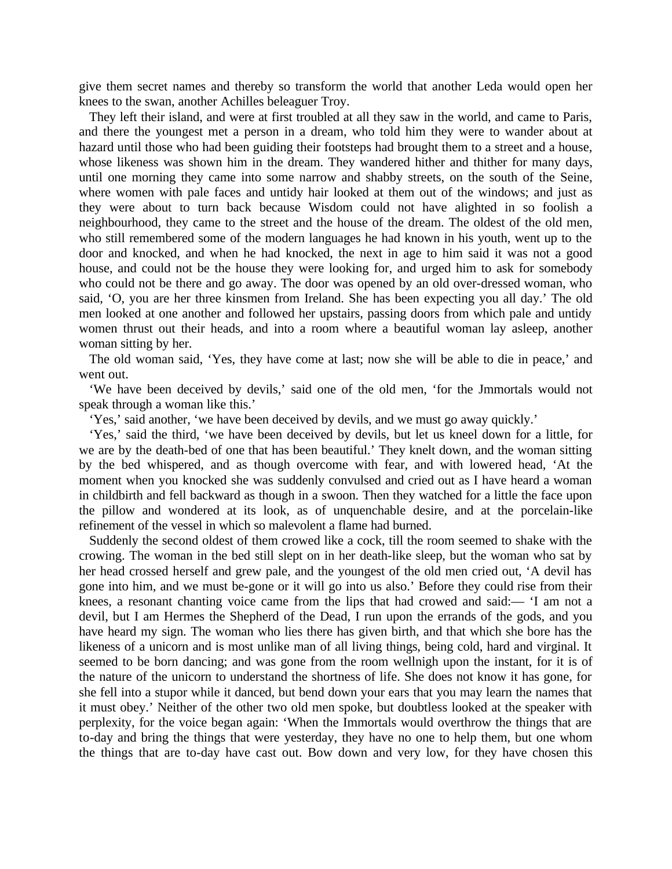give them secret names and thereby so transform the world that another Leda would open her knees to the swan, another Achilles beleaguer Troy.

They left their island, and were at first troubled at all they saw in the world, and came to Paris, and there the youngest met a person in a dream, who told him they were to wander about at hazard until those who had been guiding their footsteps had brought them to a street and a house, whose likeness was shown him in the dream. They wandered hither and thither for many days, until one morning they came into some narrow and shabby streets, on the south of the Seine, where women with pale faces and untidy hair looked at them out of the windows; and just as they were about to turn back because Wisdom could not have alighted in so foolish a neighbourhood, they came to the street and the house of the dream. The oldest of the old men, who still remembered some of the modern languages he had known in his youth, went up to the door and knocked, and when he had knocked, the next in age to him said it was not a good house, and could not be the house they were looking for, and urged him to ask for somebody who could not be there and go away. The door was opened by an old over-dressed woman, who said, 'O, you are her three kinsmen from Ireland. She has been expecting you all day.' The old men looked at one another and followed her upstairs, passing doors from which pale and untidy women thrust out their heads, and into a room where a beautiful woman lay asleep, another woman sitting by her.

The old woman said, 'Yes, they have come at last; now she will be able to die in peace,' and went out.

'We have been deceived by devils,' said one of the old men, 'for the Jmmortals would not speak through a woman like this.'

'Yes,' said another, 'we have been deceived by devils, and we must go away quickly.'

'Yes,' said the third, 'we have been deceived by devils, but let us kneel down for a little, for we are by the death-bed of one that has been beautiful.' They knelt down, and the woman sitting by the bed whispered, and as though overcome with fear, and with lowered head, 'At the moment when you knocked she was suddenly convulsed and cried out as I have heard a woman in childbirth and fell backward as though in a swoon. Then they watched for a little the face upon the pillow and wondered at its look, as of unquenchable desire, and at the porcelain-like refinement of the vessel in which so malevolent a flame had burned.

Suddenly the second oldest of them crowed like a cock, till the room seemed to shake with the crowing. The woman in the bed still slept on in her death-like sleep, but the woman who sat by her head crossed herself and grew pale, and the youngest of the old men cried out, 'A devil has gone into him, and we must be-gone or it will go into us also.' Before they could rise from their knees, a resonant chanting voice came from the lips that had crowed and said:— 'I am not a devil, but I am Hermes the Shepherd of the Dead, I run upon the errands of the gods, and you have heard my sign. The woman who lies there has given birth, and that which she bore has the likeness of a unicorn and is most unlike man of all living things, being cold, hard and virginal. It seemed to be born dancing; and was gone from the room wellnigh upon the instant, for it is of the nature of the unicorn to understand the shortness of life. She does not know it has gone, for she fell into a stupor while it danced, but bend down your ears that you may learn the names that it must obey.' Neither of the other two old men spoke, but doubtless looked at the speaker with perplexity, for the voice began again: 'When the Immortals would overthrow the things that are to-day and bring the things that were yesterday, they have no one to help them, but one whom the things that are to-day have cast out. Bow down and very low, for they have chosen this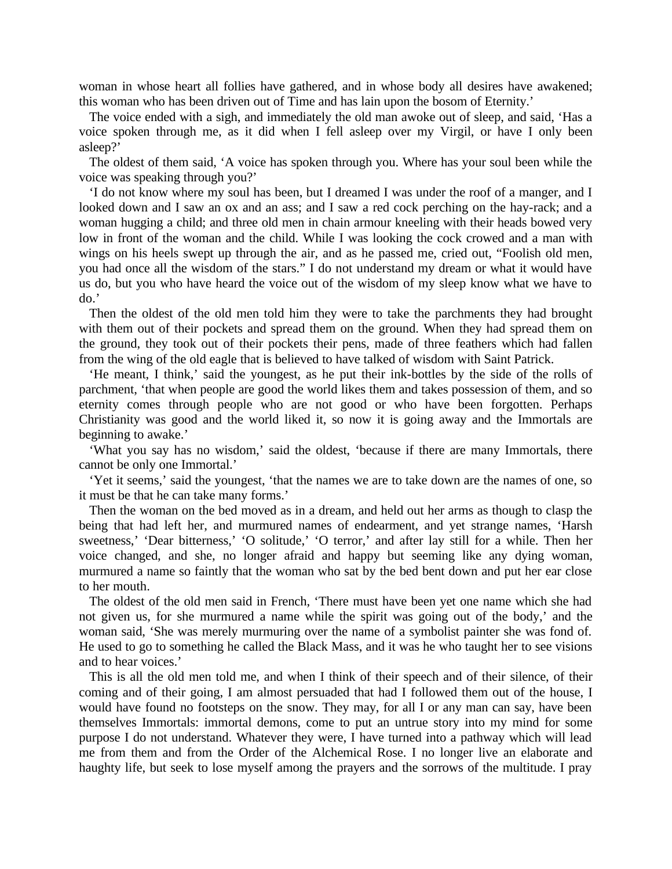woman in whose heart all follies have gathered, and in whose body all desires have awakened; this woman who has been driven out of Time and has lain upon the bosom of Eternity.'

The voice ended with a sigh, and immediately the old man awoke out of sleep, and said, 'Has a voice spoken through me, as it did when I fell asleep over my Virgil, or have I only been asleep?'

The oldest of them said, 'A voice has spoken through you. Where has your soul been while the voice was speaking through you?'

'I do not know where my soul has been, but I dreamed I was under the roof of a manger, and I looked down and I saw an ox and an ass; and I saw a red cock perching on the hay-rack; and a woman hugging a child; and three old men in chain armour kneeling with their heads bowed very low in front of the woman and the child. While I was looking the cock crowed and a man with wings on his heels swept up through the air, and as he passed me, cried out, "Foolish old men, you had once all the wisdom of the stars." I do not understand my dream or what it would have us do, but you who have heard the voice out of the wisdom of my sleep know what we have to do.'

Then the oldest of the old men told him they were to take the parchments they had brought with them out of their pockets and spread them on the ground. When they had spread them on the ground, they took out of their pockets their pens, made of three feathers which had fallen from the wing of the old eagle that is believed to have talked of wisdom with Saint Patrick.

'He meant, I think,' said the youngest, as he put their ink-bottles by the side of the rolls of parchment, 'that when people are good the world likes them and takes possession of them, and so eternity comes through people who are not good or who have been forgotten. Perhaps Christianity was good and the world liked it, so now it is going away and the Immortals are beginning to awake.'

'What you say has no wisdom,' said the oldest, 'because if there are many Immortals, there cannot be only one Immortal.'

'Yet it seems,' said the youngest, 'that the names we are to take down are the names of one, so it must be that he can take many forms.'

Then the woman on the bed moved as in a dream, and held out her arms as though to clasp the being that had left her, and murmured names of endearment, and yet strange names, 'Harsh sweetness,' 'Dear bitterness,' 'O solitude,' 'O terror,' and after lay still for a while. Then her voice changed, and she, no longer afraid and happy but seeming like any dying woman, murmured a name so faintly that the woman who sat by the bed bent down and put her ear close to her mouth.

The oldest of the old men said in French, 'There must have been yet one name which she had not given us, for she murmured a name while the spirit was going out of the body,' and the woman said, 'She was merely murmuring over the name of a symbolist painter she was fond of. He used to go to something he called the Black Mass, and it was he who taught her to see visions and to hear voices.'

This is all the old men told me, and when I think of their speech and of their silence, of their coming and of their going, I am almost persuaded that had I followed them out of the house, I would have found no footsteps on the snow. They may, for all I or any man can say, have been themselves Immortals: immortal demons, come to put an untrue story into my mind for some purpose I do not understand. Whatever they were, I have turned into a pathway which will lead me from them and from the Order of the Alchemical Rose. I no longer live an elaborate and haughty life, but seek to lose myself among the prayers and the sorrows of the multitude. I pray